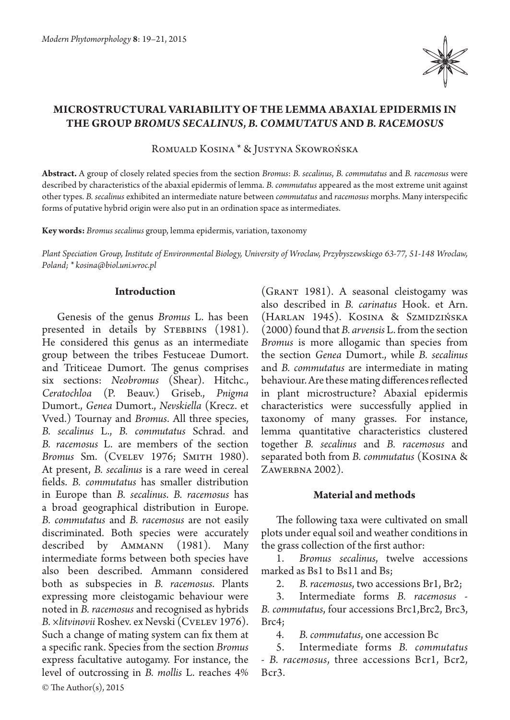

# **Microstructural variability of the lemma abaxial epidermis in the group** *Bromus secalinus***,** *B. commutatus* **and** *B. racemosus*

Romuald Kosina \* & Justyna Skowrońska

**Abstract.** A group of closely related species from the section *Bromus*: *B. secalinus*, *B. commutatus* and *B. racemosus* were described by characteristics of the abaxial epidermis of lemma. *B. commutatus* appeared as the most extreme unit against other types. *B. secalinus* exhibited an intermediate nature between *commutatus* and *racemosus* morphs. Many interspecific forms of putative hybrid origin were also put in an ordination space as intermediates.

**Key words:** *Bromus secalinus* group, lemma epidermis, variation, taxonomy

*Plant Speciation Group, Institute of Environmental Biology, University of Wroclaw, Przybyszewskiego 63-77, 51-148 Wroclaw, Poland; \* kosina@biol.uni.wroc.pl*

## **Introduction**

© The Author(s), 2015 Genesis of the genus *Bromus* L. has been presented in details by STEBBINS (1981). He considered this genus as an intermediate group between the tribes Festuceae Dumort. and Triticeae Dumort. The genus comprises six sections: *Neobromus* (Shear). Hitchc., *Ceratochloa* (P. Beauv.) Griseb., *Pnigma* Dumort., *Genea* Dumort., *Nevskiella* (Krecz. et Vved.) Tournay and *Bromus*. All three species, *B. secalinus* L., *B. commutatus* Schrad. and *B. racemosus* L. are members of the section *Bromus* Sm. (CVELEV 1976; SMITH 1980). At present, *B. secalinus* is a rare weed in cereal fields. *B. commutatus* has smaller distribution in Europe than *B. secalinus*. *B. racemosus* has a broad geographical distribution in Europe. *B. commutatus* and *B. racemosus* are not easily discriminated. Both species were accurately described by Ammann (1981). Many intermediate forms between both species have also been described. Ammann considered both as subspecies in *B. racemosus*. Plants expressing more cleistogamic behaviour were noted in *B. racemosus* and recognised as hybrids *B. ×litvinovii* Roshev. ex Nevski (Cvelev 1976). Such a change of mating system can fix them at a specific rank. Species from the section *Bromus* express facultative autogamy. For instance, the level of outcrossing in *B. mollis* L. reaches 4%

(Grant 1981). A seasonal cleistogamy was also described in *B. carinatus* Hook. et Arn. (Harlan 1945). Kosina & Szmidzińska (2000) found that *B. arvensis* L. from the section *Bromus* is more allogamic than species from the section *Genea* Dumort., while *B. secalinus*  and *B. commutatus* are intermediate in mating behaviour. Are these mating differences reflected in plant microstructure? Abaxial epidermis characteristics were successfully applied in taxonomy of many grasses. For instance, lemma quantitative characteristics clustered together *B. secalinus* and *B. racemosus* and separated both from *B. commutatus* (Kosina & ZAWERBNA 2002).

#### **Material and methods**

The following taxa were cultivated on small plots under equal soil and weather conditions in the grass collection of the first author:

1. *Bromus secalinus*, twelve accessions marked as Bs1 to Bs11 and Bs;<br>2. B racemosus, two acce

2. *B. racemosus*, two accessions Br1, Br2;<br>3 Intermediate forms *B. racemosus* 

3. Intermediate forms *B. racemosus* - *B. commutatus*, four accessions Brc1,Brc2, Brc3, Brc4;

4. *B. commutatus*, one accession Bc

5. Intermediate forms *B. commutatus*  - *B. racemosus*, three accessions Bcr1, Bcr2, Bcr3.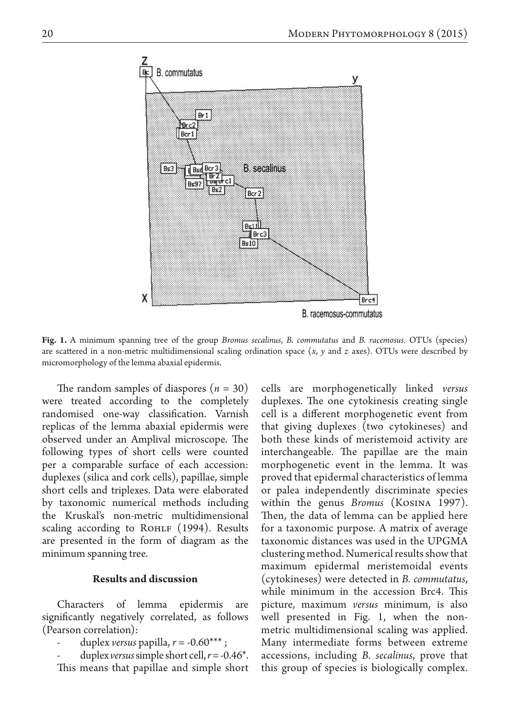

**Fig. 1.** A minimum spanning tree of the group *Bromus secalinus*, *B. commutatus* and *B. racemosus*. OTUs (species) are scattered in a non-metric multidimensional scaling ordination space (*x, y* and *z* axes). OTUs were described by micromorphology of the lemma abaxial epidermis.

The random samples of diaspores  $(n = 30)$ were treated according to the completely randomised one-way classification. Varnish replicas of the lemma abaxial epidermis were observed under an Amplival microscope. The following types of short cells were counted per a comparable surface of each accession: duplexes (silica and cork cells), papillae, simple short cells and triplexes. Data were elaborated by taxonomic numerical methods including the Kruskal's non-metric multidimensional scaling according to ROHLF (1994). Results are presented in the form of diagram as the minimum spanning tree.

## **Results and discussion**

Characters of lemma epidermis are significantly negatively correlated, as follows (Pearson correlation):

duplex *versus* papilla,  $r = -0.60***$ ;

duplex *versus* simple short cell,  $r = -0.46^*$ . This means that papillae and simple short

cells are morphogenetically linked *versus* duplexes. The one cytokinesis creating single cell is a different morphogenetic event from that giving duplexes (two cytokineses) and both these kinds of meristemoid activity are interchangeable. The papillae are the main morphogenetic event in the lemma. It was proved that epidermal characteristics of lemma or palea independently discriminate species within the genus *Bromus* (Kosina 1997). Then, the data of lemma can be applied here for a taxonomic purpose. A matrix of average taxonomic distances was used in the UPGMA clustering method. Numerical results show that maximum epidermal meristemoidal events (cytokineses) were detected in *B. commutatus*, while minimum in the accession Brc4. This picture, maximum *versus* minimum, is also well presented in Fig. 1, when the nonmetric multidimensional scaling was applied. Many intermediate forms between extreme accessions, including *B. secalinus*, prove that this group of species is biologically complex.